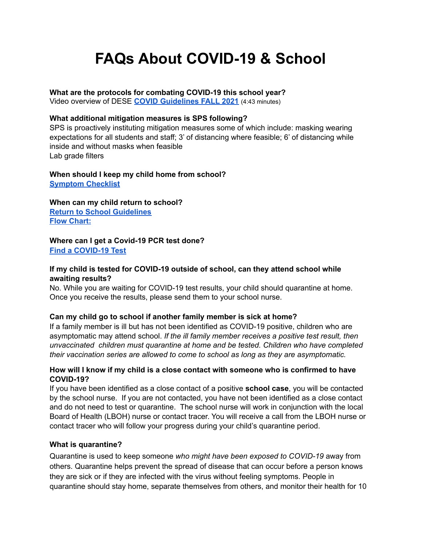# **FAQs About COVID-19 & School**

#### **What are the protocols for combating COVID-19 this school year?**

Video overview of DESE **COVID [Guidelines](https://safeshare.tv/x/KDSa366056Y) FALL 2021** (4:43 minutes)

#### **What additional mitigation measures is SPS following?**

SPS is proactively instituting mitigation measures some of which include: masking wearing expectations for all students and staff; 3' of distancing where feasible; 6' of distancing while inside and without masks when feasible Lab grade filters

#### **When should I keep my child home from school? [Symptom](https://docs.google.com/presentation/d/1CRUZooS84OfLABlcLPGESeF0k__0zIV0Q3VE5RaRyaU/edit?usp=sharing) Checklist**

**When can my child return to school? Return to School [Guidelines](https://docs.google.com/presentation/d/1gZHzc2GYeYipuzZ2oWv047kQEam8BQJybt7bqwoYrN8/edit?usp=sharing) Flow [Chart:](https://www.doe.mass.edu/covid19/on-desktop/flowcharts.pdf)**

# **Where can I get a Covid-19 PCR test done?**

**Find a [COVID-19](https://www.mass.gov/info-details/find-a-covid-19-test) Test**

# **If my child is tested for COVID-19 outside of school, can they attend school while awaiting results?**

No. While you are waiting for COVID-19 test results, your child should quarantine at home. Once you receive the results, please send them to your school nurse.

#### **Can my child go to school if another family member is sick at home?**

If a family member is ill but has not been identified as COVID-19 positive, children who are asymptomatic may attend school. *If the ill family member receives a positive test result, then unvaccinated children must quarantine at home and be tested. Children who have completed their vaccination series are allowed to come to school as long as they are asymptomatic.*

#### **How will I know if my child is a close contact with someone who is confirmed to have COVID-19?**

If you have been identified as a close contact of a positive **school case**, you will be contacted by the school nurse. If you are not contacted, you have not been identified as a close contact and do not need to test or quarantine. The school nurse will work in conjunction with the local Board of Health (LBOH) nurse or contact tracer. You will receive a call from the LBOH nurse or contact tracer who will follow your progress during your child's quarantine period.

#### **What is quarantine?**

Quarantine is used to keep someone *who might have been exposed to COVID-19* away from others. Quarantine helps prevent the spread of disease that can occur before a person knows they are sick or if they are infected with the virus without feeling symptoms. People in quarantine should stay home, separate themselves from others, and monitor their health for 10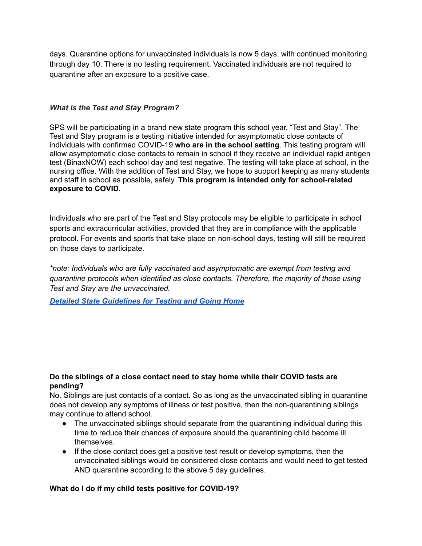days. Quarantine options for unvaccinated individuals is now 5 days, with continued monitoring through day 10. There is no testing requirement. Vaccinated individuals are not required to quarantine after an exposure to a positive case.

# *What is the Test and Stay Program?*

SPS will be participating in a brand new state program this school year, "Test and Stay". The Test and Stay program is a testing initiative intended for asymptomatic close contacts of individuals with confirmed COVID-19 **who are in the school setting**. This testing program will allow asymptomatic close contacts to remain in school if they receive an individual rapid antigen test (BinaxNOW) each school day and test negative. The testing will take place at school, in the nursing office. With the addition of Test and Stay, we hope to support keeping as many students and staff in school as possible, safely. **This program is intended only for school-related exposure to COVID**.

Individuals who are part of the Test and Stay protocols may be eligible to participate in school sports and extracurricular activities, provided that they are in compliance with the applicable protocol. For events and sports that take place on non-school days, testing will still be required on those days to participate.

*\*note: Individuals who are fully vaccinated and asymptomatic are exempt from testing and quarantine protocols when identified as close contacts. Therefore, the majority of those using Test and Stay are the unvaccinated.*

*Detailed State [Guidelines](https://docs.google.com/document/d/13CHpqSsgzfT3mcolhyCE93-j7Wk8jFqu5V1EY7zxtAU/edit?usp=sharing) for Testing and Going Home*

# **Do the siblings of a close contact need to stay home while their COVID tests are pending?**

No. Siblings are just contacts of a contact. So as long as the unvaccinated sibling in quarantine does not develop any symptoms of illness or test positive, then the non-quarantining siblings may continue to attend school.

- The unvaccinated siblings should separate from the quarantining individual during this time to reduce their chances of exposure should the quarantining child become ill themselves.
- If the close contact does get a positive test result or develop symptoms, then the unvaccinated siblings would be considered close contacts and would need to get tested AND quarantine according to the above 5 day guidelines.

#### **What do I do if my child tests positive for COVID-19?**